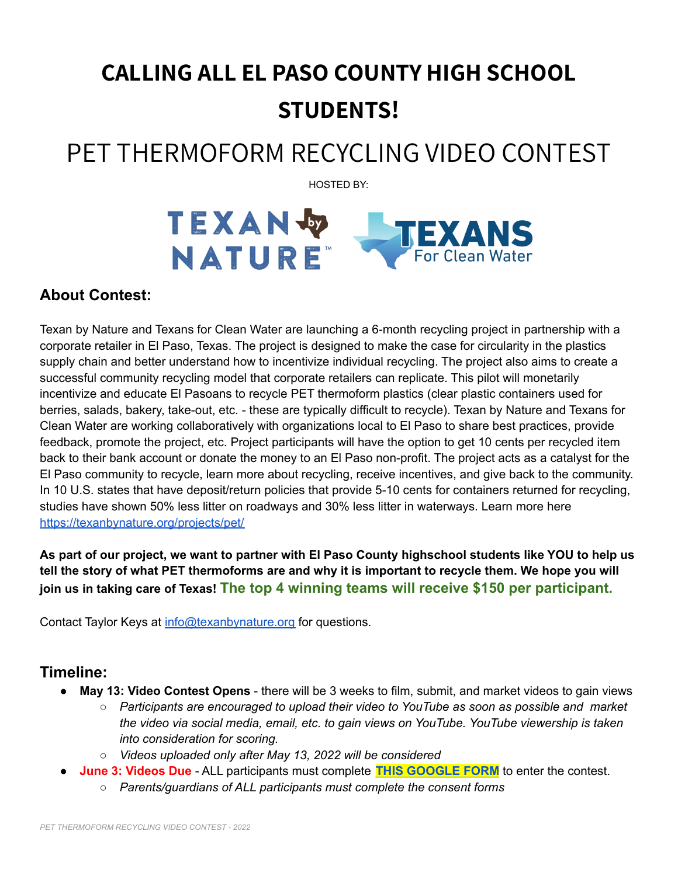# **CALLING ALL EL PASO COUNTY HIGH SCHOOL STUDENTS!**

# PET THERMOFORM RECYCLING VIDEO CONTEST

HOSTED BY:



# **About Contest:**

Texan by Nature and Texans for Clean Water are launching a 6-month recycling project in partnership with a corporate retailer in El Paso, Texas. The project is designed to make the case for circularity in the plastics supply chain and better understand how to incentivize individual recycling. The project also aims to create a successful community recycling model that corporate retailers can replicate. This pilot will monetarily incentivize and educate El Pasoans to recycle PET thermoform plastics (clear plastic containers used for berries, salads, bakery, take-out, etc. - these are typically difficult to recycle). Texan by Nature and Texans for Clean Water are working collaboratively with organizations local to El Paso to share best practices, provide feedback, promote the project, etc. Project participants will have the option to get 10 cents per recycled item back to their bank account or donate the money to an El Paso non-profit. The project acts as a catalyst for the El Paso community to recycle, learn more about recycling, receive incentives, and give back to the community. In 10 U.S. states that have deposit/return policies that provide 5-10 cents for containers returned for recycling, studies have shown 50% less litter on roadways and 30% less litter in waterways. Learn more here [https://texanbynature.org/projects/pet/](https://texanbynature.org/?post_type=txn_project&p=11040&preview=true)

As part of our project, we want to partner with El Paso County highschool students like YOU to help us tell the story of what PET thermoforms are and why it is important to recycle them. We hope you will **join us in taking care of Texas! The top 4 winning teams will receive \$150 per participant.**

Contact Taylor Keys at [info@texanbynature.org](mailto:info@texanbynature.org) for questions.

## **Timeline:**

- **May 13: Video Contest Opens** there will be 3 weeks to film, submit, and market videos to gain views
	- *○ Participants are encouraged to upload their video to YouTube as soon as possible and market the video via social media, email, etc. to gain views on YouTube. YouTube viewership is taken into consideration for scoring.*
	- *○ Videos uploaded only after May 13, 2022 will be considered*
	- **June 3: Videos Due** ALL participants must complete **THIS [GOOGLE](https://forms.gle/kUzYYN7A6dsRVE8J7) FORM** to enter the contest.
		- *○ Parents/guardians of ALL participants must complete the consent forms*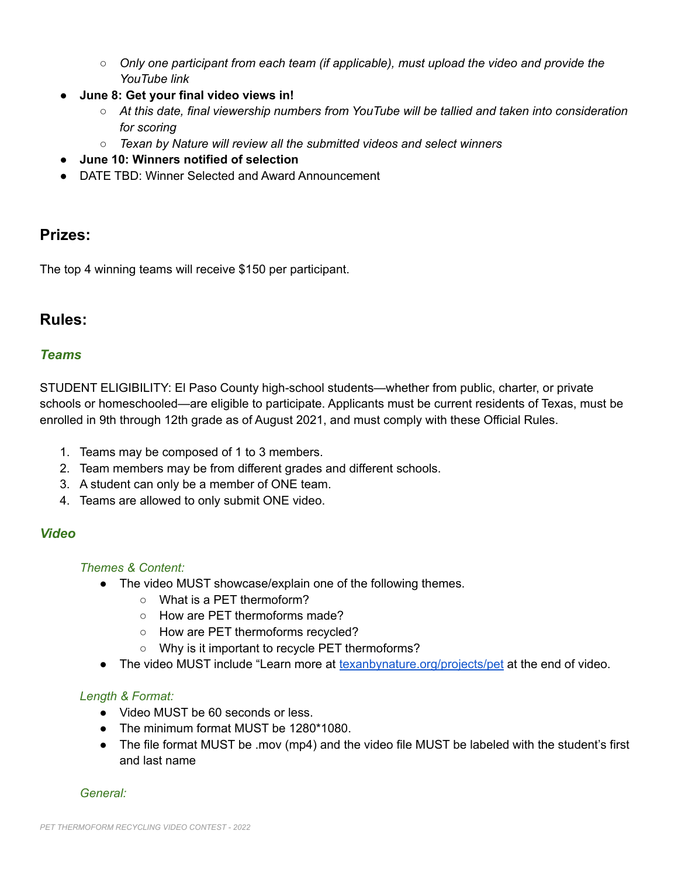- *○ Only one participant from each team (if applicable), must upload the video and provide the YouTube link*
- **June 8: Get your final video views in!**
	- *○ At this date, final viewership numbers from YouTube will be tallied and taken into consideration for scoring*
	- *○ Texan by Nature will review all the submitted videos and select winners*
- **● June 10: Winners notified of selection**
- DATE TBD: Winner Selected and Award Announcement

# **Prizes:**

The top 4 winning teams will receive \$150 per participant.

# **Rules:**

## *Teams*

STUDENT ELIGIBILITY: El Paso County high-school students—whether from public, charter, or private schools or homeschooled—are eligible to participate. Applicants must be current residents of Texas, must be enrolled in 9th through 12th grade as of August 2021, and must comply with these Official Rules.

- 1. Teams may be composed of 1 to 3 members.
- 2. Team members may be from different grades and different schools.
- 3. A student can only be a member of ONE team.
- 4. Teams are allowed to only submit ONE video.

## *Video*

## *Themes & Content:*

- The video MUST showcase/explain one of the following themes.
	- What is a PET thermoform?
	- How are PET thermoforms made?
	- How are PET thermoforms recycled?
	- Why is it important to recycle PET thermoforms?
- The video MUST include "Learn more at [texanbynature.org/projects/pet](https://texanbynature.org/projects/pet) at the end of video.

## *Length & Format:*

- Video MUST be 60 seconds or less.
- The minimum format MUST be 1280\*1080.
- The file format MUST be .mov (mp4) and the video file MUST be labeled with the student's first and last name

*General:*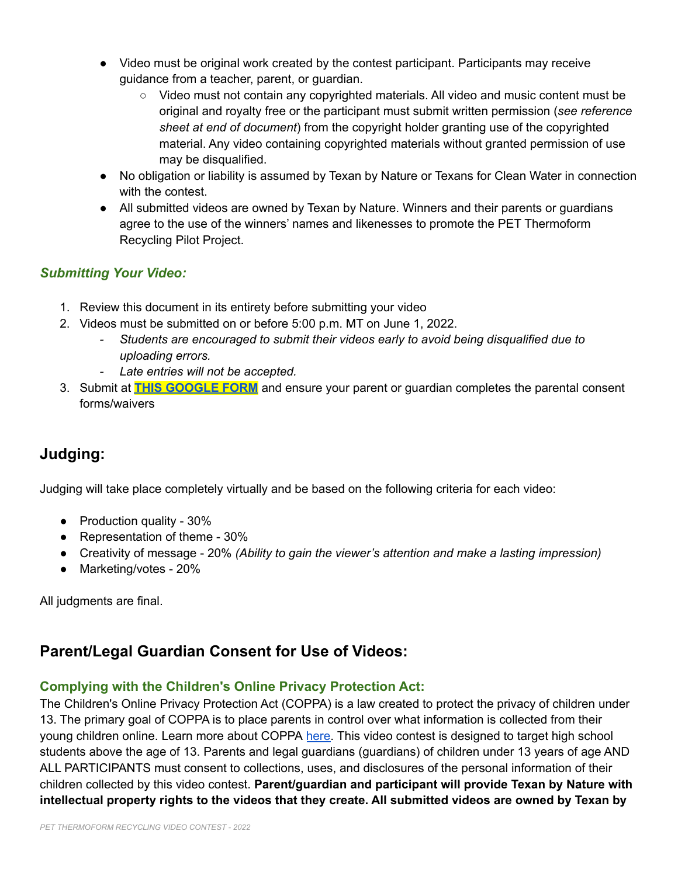- Video must be original work created by the contest participant. Participants may receive guidance from a teacher, parent, or guardian.
	- Video must not contain any copyrighted materials. All video and music content must be original and royalty free or the participant must submit written permission (*see reference sheet at end of document*) from the copyright holder granting use of the copyrighted material. Any video containing copyrighted materials without granted permission of use may be disqualified.
- No obligation or liability is assumed by Texan by Nature or Texans for Clean Water in connection with the contest.
- All submitted videos are owned by Texan by Nature. Winners and their parents or guardians agree to the use of the winners' names and likenesses to promote the PET Thermoform Recycling Pilot Project.

## *Submitting Your Video:*

- 1. Review this document in its entirety before submitting your video
- 2. Videos must be submitted on or before 5:00 p.m. MT on June 1, 2022.
	- *- Students are encouraged to submit their videos early to avoid being disqualified due to uploading errors.*
	- *- Late entries will not be accepted.*
- 3. Submit at **THIS [GOOGLE](https://forms.gle/kUzYYN7A6dsRVE8J7) FORM** and ensure your parent or guardian completes the parental consent forms/waivers

# **Judging:**

Judging will take place completely virtually and be based on the following criteria for each video:

- Production quality 30%
- Representation of theme 30%
- Creativity of message 20% *(Ability to gain the viewer's attention and make a lasting impression)*
- Marketing/votes 20%

All judgments are final.

# **Parent/Legal Guardian Consent for Use of Videos:**

## **Complying with the Children's Online Privacy Protection Act:**

The Children's Online Privacy Protection Act (COPPA) is a law created to protect the privacy of children under 13. The primary goal of COPPA is to place parents in control over what information is collected from their young children online. Learn more about COPPA [here.](https://www.ftc.gov/business-guidance/resources/complying-coppa-frequently-asked-questions#F.%20Photos) This video contest is designed to target high school students above the age of 13. Parents and legal guardians (guardians) of children under 13 years of age AND ALL PARTICIPANTS must consent to collections, uses, and disclosures of the personal information of their children collected by this video contest. **Parent/guardian and participant will provide Texan by Nature with intellectual property rights to the videos that they create. All submitted videos are owned by Texan by**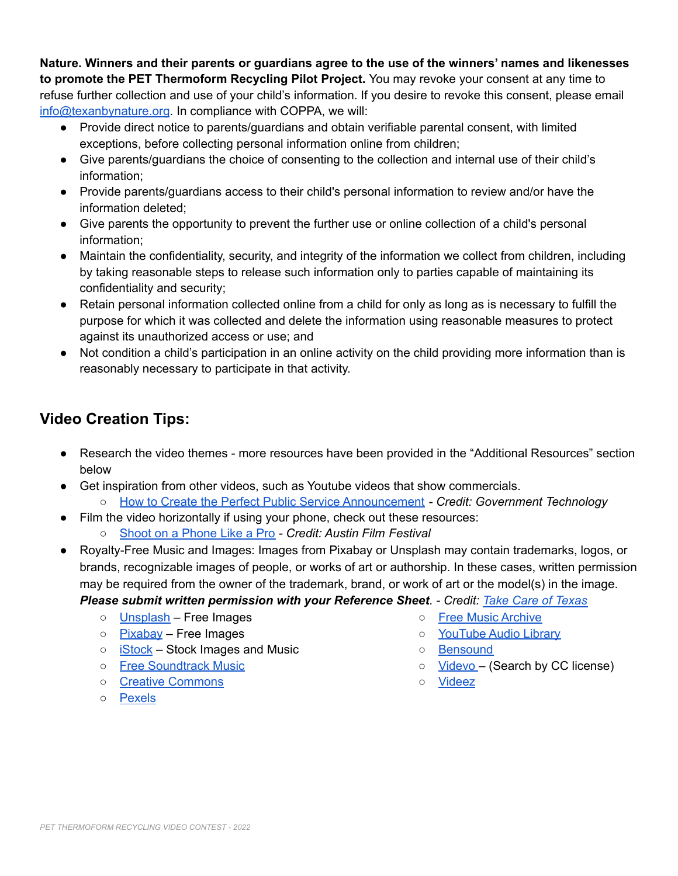**Nature. Winners and their parents or guardians agree to the use of the winners' names and likenesses to promote the PET Thermoform Recycling Pilot Project.** You may revoke your consent at any time to refuse further collection and use of your child's information. If you desire to revoke this consent, please email [info@texanbynature.org](mailto:info@texanbynature.org). In compliance with COPPA, we will:

- Provide direct notice to parents/guardians and obtain verifiable parental consent, with limited exceptions, before collecting personal information online from children;
- Give parents/guardians the choice of consenting to the collection and internal use of their child's information;
- Provide parents/guardians access to their child's personal information to review and/or have the information deleted;
- Give parents the opportunity to prevent the further use or online collection of a child's personal information;
- Maintain the confidentiality, security, and integrity of the information we collect from children, including by taking reasonable steps to release such information only to parties capable of maintaining its confidentiality and security;
- Retain personal information collected online from a child for only as long as is necessary to fulfill the purpose for which it was collected and delete the information using reasonable measures to protect against its unauthorized access or use; and
- Not condition a child's participation in an online activity on the child providing more information than is reasonably necessary to participate in that activity.

# **Video Creation Tips:**

- Research the video themes more resources have been provided in the "Additional Resources" section below
- Get inspiration from other videos, such as Youtube videos that show commercials.
	- How to Create the Perfect Public Service [Announcement](https://www.govtech.com/education/news/how-to-create-the-perfect-public-service-announcement.html) *- Credit: Government Technology*
- Film the video horizontally if using your phone, check out these resources:
	- Shoot on a [Phone](https://austinyouthfilmfestival.org/resources/2020/4/10/shoot-on-a-phone-like-a-pro) Like a Pro *- Credit: Austin Film Festival*
- Royalty-Free Music and Images: Images from Pixabay or Unsplash may contain trademarks, logos, or brands, recognizable images of people, or works of art or authorship. In these cases, written permission may be required from the owner of the trademark, brand, or work of art or the model(s) in the image.
	- *Please submit written permission with your Reference Sheet*. *- Credit: Take Care of [Texas](https://takecareoftexas.org/education/video-contest-rules/video-tips)*
		- [Unsplash](https://unsplash.com/) Free Images
		- o [Pixabay](https://pixabay.com/) Free Images
		- $\circ$  [iStock](http://www.istockphoto.com/) Stock Images and Music
		- Free [Soundtrack](http://www.freesoundtrackmusic.com/) Music
		- Creative [Commons](https://creativecommons.org/)
		- [Pexels](https://www.pexels.com/)
- Free Music [Archive](https://freemusicarchive.org/)
- o [YouTube](https://www.youtube.com/audiolibrary) Audio Library
- [Bensound](https://www.bensound.com/)
- [Videvo](https://www.videvo.net/) (Search by CC license)
- [Videez](https://www.videezy.com/)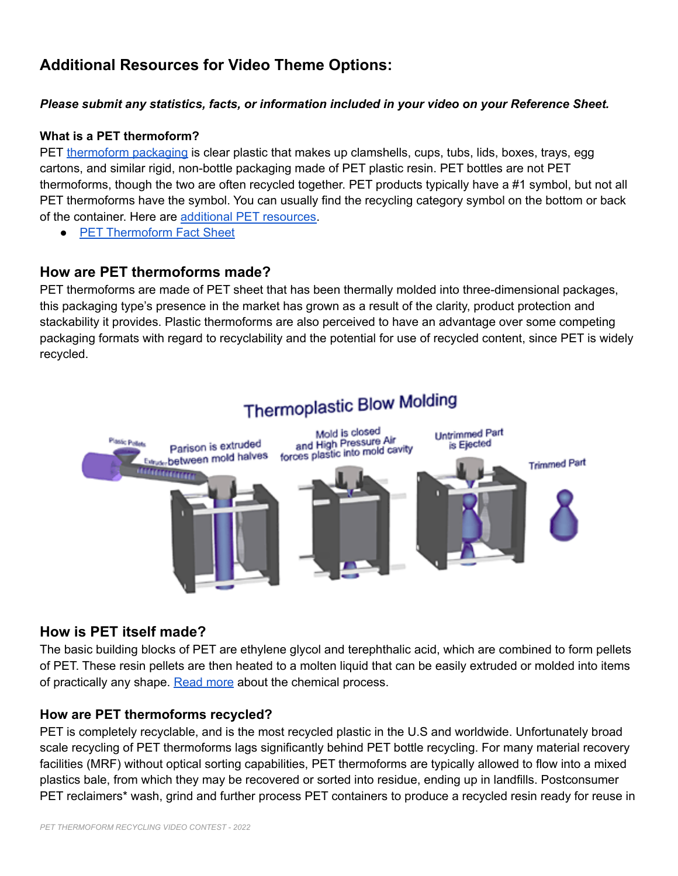# **Additional Resources for Video Theme Options:**

### *Please submit any statistics, facts, or information included in your video on your Reference Sheet.*

#### **What is a PET thermoform?**

PET [thermoform](https://napcor.com/recycling/thermoform-recycling/#:~:text=PET%20thermoform%20packaging%E2%80%94clamshells%2C%20cups,not%20all%20thermoforms%20are%20PET.) packaging is clear plastic that makes up clamshells, cups, tubs, lids, boxes, trays, egg cartons, and similar rigid, non-bottle packaging made of PET plastic resin. PET bottles are not PET thermoforms, though the two are often recycled together. PET products typically have a #1 symbol, but not all PET thermoforms have the symbol. You can usually find the recycling category symbol on the bottom or back of the container. Here are additional PET [resources.](https://resource-recycling.com/recycling/2021/07/20/thermoform-recycling-realities/)

● PET [Thermoform](https://napcor.com/wp-content/uploads/2020/08/PET-Thermoform-Fact-Sheet.pdf) Fact Sheet

## **How are PET thermoforms made?**

PET thermoforms are made of PET sheet that has been thermally molded into three-dimensional packages, this packaging type's presence in the market has grown as a result of the clarity, product protection and stackability it provides. Plastic thermoforms are also perceived to have an advantage over some competing packaging formats with regard to recyclability and the potential for use of recycled content, since PET is widely recycled.



## **How is PET itself made?**

The basic building blocks of PET are ethylene glycol and terephthalic acid, which are combined to form pellets of PET. These resin pellets are then heated to a molten liquid that can be easily extruded or molded into items of practically any shape. [Read](http://www.petresin.org/aboutpet.asp#:~:text=How%20PET%20is%20Made,items%20of%20practically%20any%20shape.) more about the chemical process.

## **How are PET thermoforms recycled?**

PET is completely recyclable, and is the most recycled plastic in the U.S and worldwide. Unfortunately broad scale recycling of PET thermoforms lags significantly behind PET bottle recycling. For many material recovery facilities (MRF) without optical sorting capabilities, PET thermoforms are typically allowed to flow into a mixed plastics bale, from which they may be recovered or sorted into residue, ending up in landfills. Postconsumer PET reclaimers\* wash, grind and further process PET containers to produce a recycled resin ready for reuse in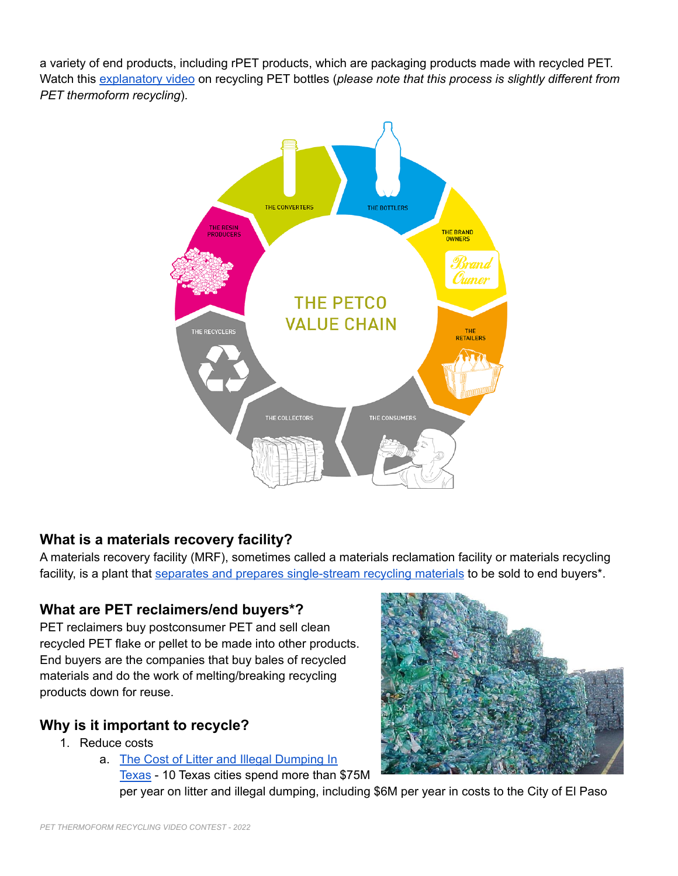a variety of end products, including rPET products, which are packaging products made with recycled PET. Watch this [explanatory](https://vimeo.com/215524715?embedded=true&source=video_title&owner=66010818) video on recycling PET bottles (*please note that this process is slightly different from PET thermoform recycling*).



## **What is a materials recovery facility?**

A materials recovery facility (MRF), sometimes called a materials reclamation facility or materials recycling facility, is a plant that separates and prepares [single-stream](https://www.rubicon.com/blog/what-can-be-recycled/) recycling materials to be sold to end buyers\*.

## **What are PET reclaimers/end buyers\*?**

PET reclaimers buy postconsumer PET and sell clean recycled PET flake or pellet to be made into other products. End buyers are the companies that buy bales of recycled materials and do the work of melting/breaking recycling products down for reuse.

# **Why is it important to recycle?**

- 1. Reduce costs
	- a. The Cost of Litter and Illegal [Dumping](https://www.texansforcleanwater.org/_files/ugd/d13346_64f0e01e29494ea793404492b4b07b7f.pdf) In

[Texas](https://www.texansforcleanwater.org/_files/ugd/d13346_64f0e01e29494ea793404492b4b07b7f.pdf) - 10 Texas cities spend more than \$75M per year on litter and illegal dumping, including \$6M per year in costs to the City of El Paso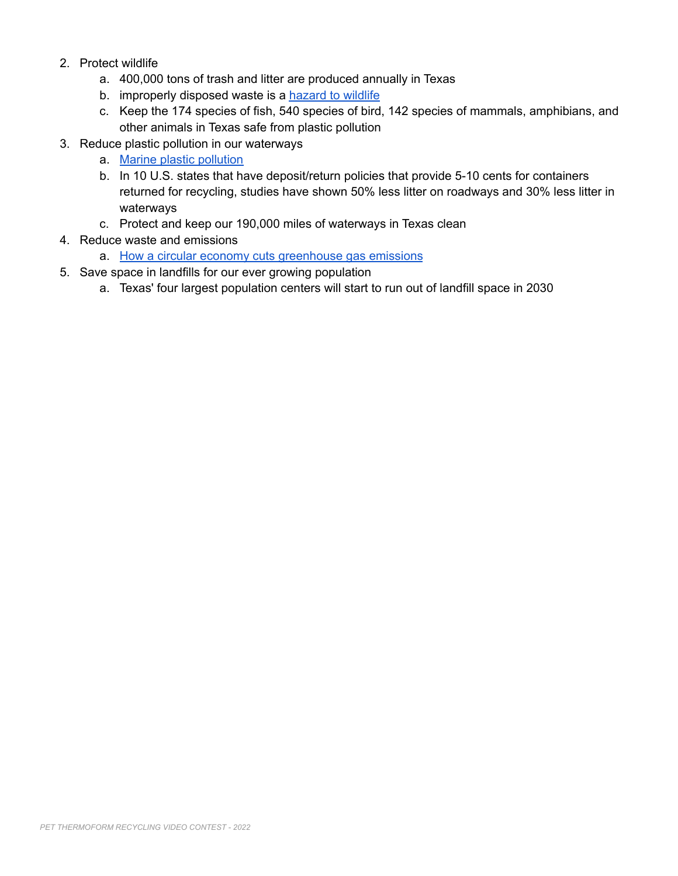- 2. Protect wildlife
	- a. 400,000 tons of trash and litter are produced annually in Texas
	- b. improperly disposed waste is a [hazard](https://blog.nwf.org/2013/06/wildlife-are-getting-their-heads-stuck-in-our-trash/) to wildlife
	- c. Keep the 174 species of fish, 540 species of bird, 142 species of mammals, amphibians, and other animals in Texas safe from plastic pollution
- 3. Reduce plastic pollution in our waterways
	- a. Marine plastic [pollution](https://www.iucn.org/resources/issues-briefs/marine-plastic-pollution#:~:text=At%20least%2014%20million%20tons,causes%20severe%20injuries%20and%20death.)
	- b. In 10 U.S. states that have deposit/return policies that provide 5-10 cents for containers returned for recycling, studies have shown 50% less litter on roadways and 30% less litter in waterways
	- c. Protect and keep our 190,000 miles of waterways in Texas clean
- 4. Reduce waste and emissions
	- a. How a circular economy cuts [greenhouse](https://ellenmacarthurfoundation.org/topics/climate/overview) gas emissions
- 5. Save space in landfills for our ever growing population
	- a. Texas' four largest population centers will start to run out of landfill space in 2030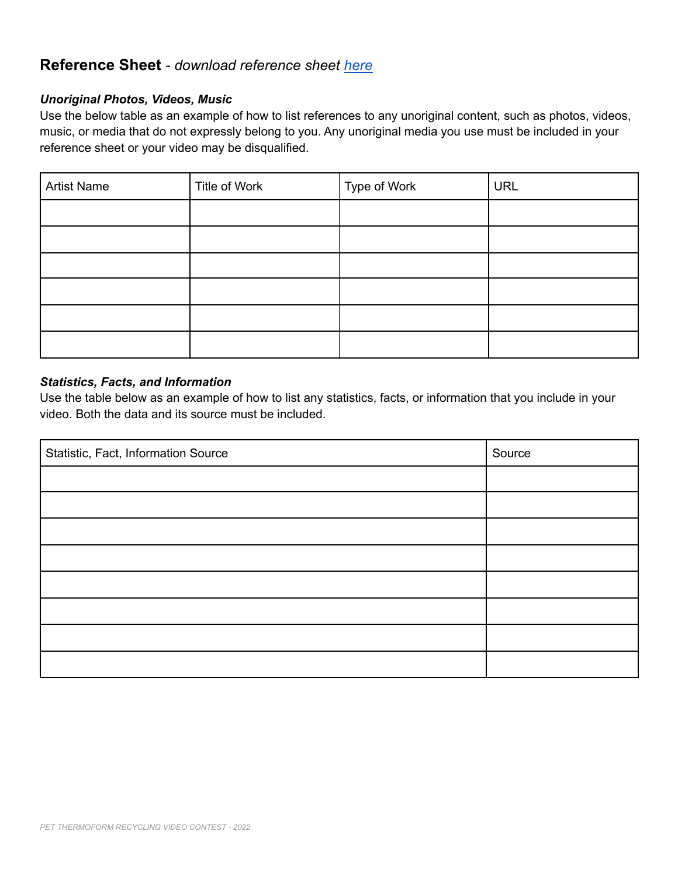## **Reference Sheet** *- download reference sheet [here](https://docs.google.com/document/d/1xF94QyC4kyQ6-FB_bPYIhx23qzUynu46uHHeAVCjdBk/edit?usp=sharing)*

### *Unoriginal Photos, Videos, Music*

Use the below table as an example of how to list references to any unoriginal content, such as photos, videos, music, or media that do not expressly belong to you. Any unoriginal media you use must be included in your reference sheet or your video may be disqualified.

| <b>Artist Name</b> | Title of Work | Type of Work | <b>URL</b> |
|--------------------|---------------|--------------|------------|
|                    |               |              |            |
|                    |               |              |            |
|                    |               |              |            |
|                    |               |              |            |
|                    |               |              |            |
|                    |               |              |            |

#### *Statistics, Facts, and Information*

Use the table below as an example of how to list any statistics, facts, or information that you include in your video. Both the data and its source must be included.

| Statistic, Fact, Information Source | Source |
|-------------------------------------|--------|
|                                     |        |
|                                     |        |
|                                     |        |
|                                     |        |
|                                     |        |
|                                     |        |
|                                     |        |
|                                     |        |